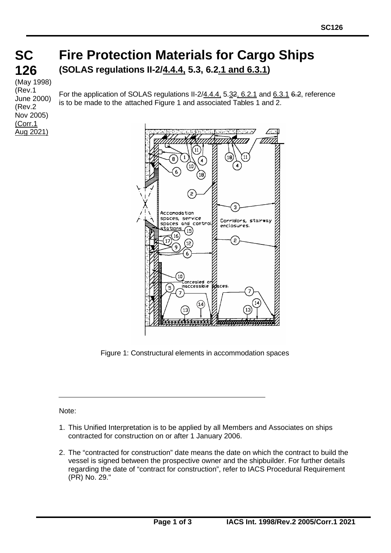## **126x 126 Fire Protection Materials for Cargo Ships (SOLAS regulations II-2/4.4.4, 5.3, 6.2.1 and 6.3.1)**

(May 1998) (Rev.1 June 2000) (Rev.2 Nov 2005) (Corr.1 Aug 2021)

**SC**

For the application of SOLAS regulations II-2/4.4.4, 5.32, 6.2.1 and 6.3.1 6.2, reference is to be made to the attached Figure 1 and associated Tables 1 and 2.



Figure 1: Constructural elements in accommodation spaces

Note:

- 1. This Unified Interpretation is to be applied by all Members and Associates on ships contracted for construction on or after 1 January 2006.
- 2. The "contracted for construction" date means the date on which the contract to build the vessel is signed between the prospective owner and the shipbuilder. For further details regarding the date of "contract for construction", refer to IACS Procedural Requirement (PR) No. 29."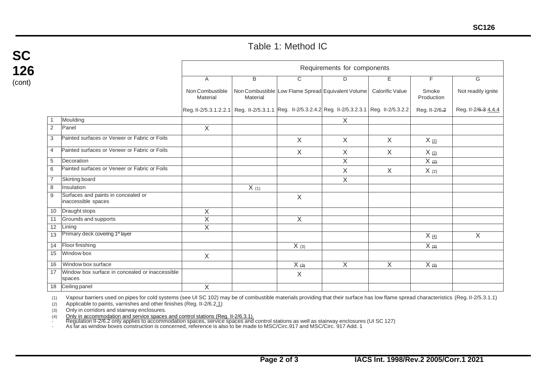## Table 1: Method IC

| SC     |  |  |  |  |  |  |
|--------|--|--|--|--|--|--|
| 126    |  |  |  |  |  |  |
| (cont) |  |  |  |  |  |  |

|                 |                                                            | Requirements for components                                                                       |           |                     |                                                    |                 |                     |                     |  |
|-----------------|------------------------------------------------------------|---------------------------------------------------------------------------------------------------|-----------|---------------------|----------------------------------------------------|-----------------|---------------------|---------------------|--|
|                 |                                                            | A                                                                                                 | B         | C                   | D                                                  | E.              | F                   | G                   |  |
|                 |                                                            | Non Combustible<br>Material                                                                       | Material  |                     | Non Combustible Low Flame Spread Equivalent Volume | Calorific Value | Smoke<br>Production | Not readily ignite  |  |
|                 |                                                            | Reg. II-2/5.3.1.2.2.1 Reg. II-2/5.3.1.1 Reg. II-2/5.3.2.4.2 Reg. II-2/5.3.2.3.1 Reg. II-2/5.3.2.2 |           |                     |                                                    |                 | Reg. II-2/6.2       | Reg. II-2/6.3 4.4.4 |  |
| $\overline{1}$  | Moulding                                                   |                                                                                                   |           |                     | X                                                  |                 |                     |                     |  |
| $\overline{2}$  | <b>Panel</b>                                               | X                                                                                                 |           |                     |                                                    |                 |                     |                     |  |
| 3               | Painted surfaces or Veneer or Fabric or Foils              |                                                                                                   |           | $\sf X$             | X                                                  | $\sf X$         | $X_{(2)}$           |                     |  |
| $\overline{4}$  | Painted surfaces or Veneer or Fabric or Foils              |                                                                                                   |           | X                   | $\times$                                           | $\times$        | $X_{(2)}$           |                     |  |
| $\overline{5}$  | Decoration                                                 |                                                                                                   |           |                     | X                                                  |                 | $X \leftrightarrow$ |                     |  |
| 6               | Painted surfaces or Veneer or Fabric or Foils              |                                                                                                   |           |                     | X                                                  | X               | X(2)                |                     |  |
| $\overline{7}$  | Skirting board                                             |                                                                                                   |           |                     | X                                                  |                 |                     |                     |  |
| 8               | Insulation                                                 |                                                                                                   | $X_{(1)}$ |                     |                                                    |                 |                     |                     |  |
| 9               | Surfaces and paints in concealed or<br>inaccessible spaces |                                                                                                   |           | X                   |                                                    |                 |                     |                     |  |
| 10              | Draught stops                                              | X                                                                                                 |           |                     |                                                    |                 |                     |                     |  |
| 11              | Grounds and supports                                       | $\overline{X}$                                                                                    |           | X                   |                                                    |                 |                     |                     |  |
| 12              | Lining                                                     | $\overline{X}$                                                                                    |           |                     |                                                    |                 |                     |                     |  |
| 13 <sup>2</sup> | Primary deck covering 1 <sup>st</sup> layer                |                                                                                                   |           |                     |                                                    |                 | $X_{(4)}$           | $\overline{X}$      |  |
| 14              | Floor finishing                                            |                                                                                                   |           | $X$ (3)             |                                                    |                 | $X \leftrightarrow$ |                     |  |
| 15              | Window box                                                 | X                                                                                                 |           |                     |                                                    |                 |                     |                     |  |
|                 | 16 Window box surface                                      |                                                                                                   |           | $X \leftrightarrow$ | X                                                  | X               | X(3)                |                     |  |
| 17              | Window box surface in concealed or inaccessible<br>spaces  |                                                                                                   |           | $\sf X$             |                                                    |                 |                     |                     |  |
|                 | 18 Ceiling panel                                           | X                                                                                                 |           |                     |                                                    |                 |                     |                     |  |

(1) Vapour barriers used on pipes for cold systems (see UI SC 102) may be of combustible materials providing that their surface has low flame spread characteristics (Reg. II-2/5.3.1.1)

(2) Applicable to paints, varnishes and other finishes (Reg. II-2/6.2.1)

(3) Only in corridors and stairway enclosures.

(4) <u>Only in accommodation and service spaces and control stations (Reg. II-2/6.3.1).</u><br>- Regulation II-2/6.2 only applies to accommodation spaces, service spaces and control stations as well as stairway enclosures (UI